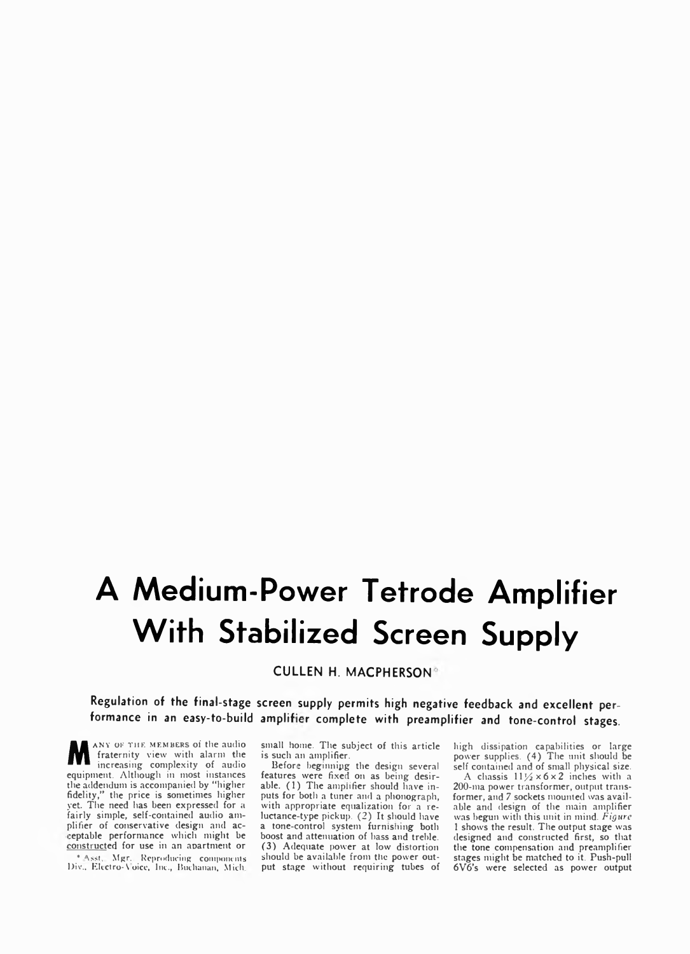## **A Medium-Power Tetrode Amplifier With Stabilized Screen Supply**

**CULLEN H. MACPHERSON**

**Regulation of the final-stage screen supply permits high negative feedback and excellent per**formance in an easy-to-build amplifier complete with preamplifier and tone-control stages.

MANY OF THE MEMBERS of the audio<br>fraternity view with alarm the<br>members of audio<br>continuous and although interview of audio fraternity view with alarm the increasing complexity of audio equipment. Although in most instances the addendum is accompanied by "higher fidelity," the price is sometimes higher yet. The need has been expressed for a fairly simple, self-contained audio amplifier of conservative design and ac- :eptable performance which might be constructed for use in an apartment or \* Asst. Mgr. Reproducing components lJiv.. Electro-^ oicc, Inc., Buchanan, Mich

small home. The subject of this article is such an amplifier.

Before beginning the design several features were fixed on as being desirable. (1) The amplifier should have inputs for both a tuner and a phonograph, with appropriate equalization for a reluctance-type pickup. (2) It should have a tone-control system furnishing both boost and attenuation of bass and treble. (3) Adequate power at low distortion should be available from the power output stage without requiring tubes of high dissipation capabilities or large power supplies. (4) The unit should be self contained and of small physical size.

A chassis  $11\frac{1}{2} \times 6 \times 2$  inches with a 200-ma power transformer, output transformer, and 7 sockets mounted was available and design of the main amplifier was begun with this unit in mind. *Figure* 1 shows the result. The output stage was designed and constructed first, so that the tone compensation and preamplifier stages might be matched to it. Push-pull 6V6's were selected as power output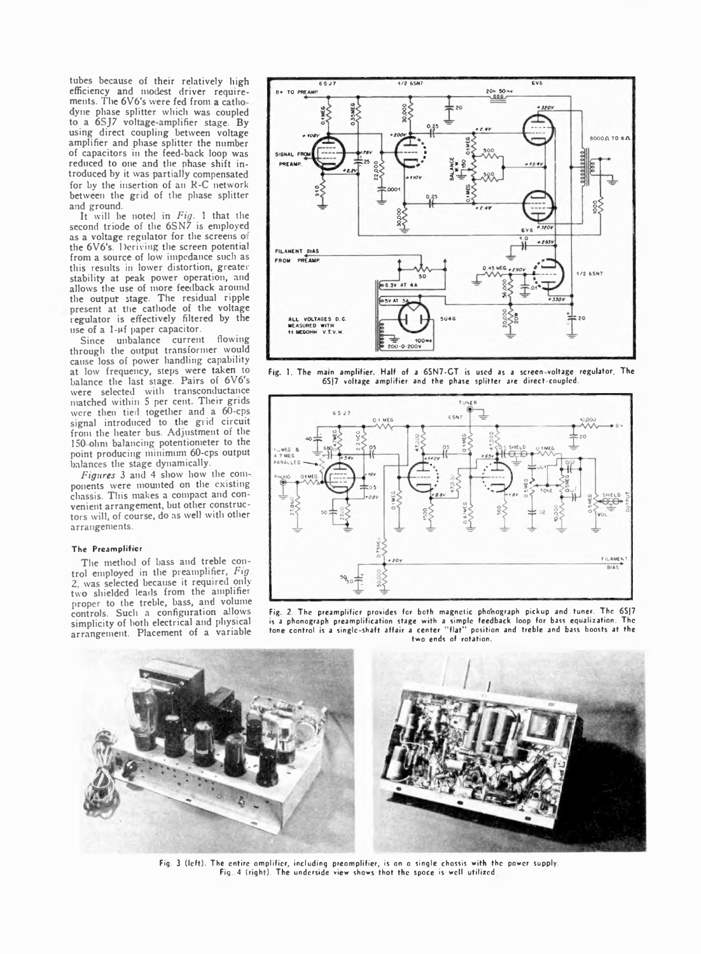tubes because of their relatively high efficiency and modest driver requirements. The 6V6's were fed from a cathodyne phase splitter which was coupled to a 6SJ7 voltage-amplifier stage. By using direct coupling between voltage amplifier and phase splitter the number of capacitors in the feed-back loop was reduced to one and the phase shift introduced by it was partially compensated for by the insertion of an R-C network between the grid of the phase splitter and ground.

It will be noted in *Fig.* 1 that the second triode of the 6SN7 is employed as a voltage regulator for the screens of the 6V6's. Deriving the screen potential from a source of low impedance such as this results in lower distortion, greater stability at peak power operation, and allows the use of more feedback around the output stage. The residual ripple present at the cathode of the voltage regulator is effectively filtered by the use of a  $1-\mu f$  paper capacitor.

Since unbalance current flowing through the output transformer would cause loss of power handling capability at low frequency, steps were taken to balance the last stage. Pairs of 6V6's were selected with transconductance matched within 5 per cent. Their grids were then tied together and a 60-cps signal introduced to the grid circuit from the heater bus. Adjustment of the 150 ohm balancing potentiometer to the point producing minimum 60-cps output balances the stage dynamically.

*Figures* 3 and 4 show how the com ponents were mounted on the existing chassis. Tins makes a compact and convenient arrangement, but other constructors will, of course, do as well with other arrangements.

## The Preamplifier

The method of bass and treble control employed in the preamplifier, *Fig 2* was selected because it required only two shielded leads from the amplifier proper to the treble, bass, and volume controls. Such a configuration allows simplicity of both electrical and physical arrangement. Placement of a variable



Fig. 1. The main amplifier. Half of a 6SN7-GT is used as a screen-voltage regulator. The 6SJ7 voltage amplifier and the phase splitter are direct-coupled.



Fig. 2. The preamplifier provides for both magnetic phonograph pickup and tuner. The 6SJ7 is a phonograph preamplification stage with a simple feedback loop for bass equalization. The tone control is a single-shaft affair a center " flat" position and treble and bass boosts at the two ends of rotation.



Fig. 3 (left). The entire omplifier, including preomplifier, is on o single chossis with the power supply. Fig. 4 (right). The underside view shows that the space is well utilized.